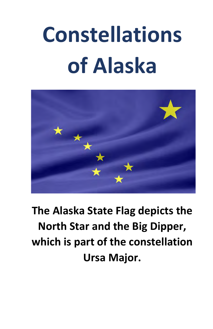# **Constellations of Alaska**



**The Alaska State Flag depicts the North Star and the Big Dipper, which is part of the constellation Ursa Major.**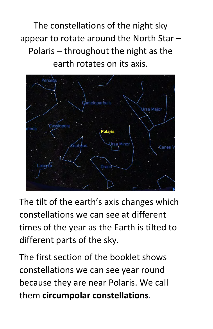The constellations of the night sky appear to rotate around the North Star – Polaris – throughout the night as the earth rotates on its axis.



The tilt of the earth's axis changes which constellations we can see at different times of the year as the Earth is tilted to different parts of the sky.

The first section of the booklet shows constellations we can see year round because they are near Polaris. We call them **circumpolar constellations**.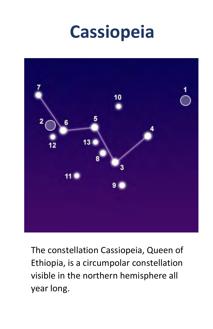## **Cassiopeia**



The constellation Cassiopeia, Queen of Ethiopia, is a circumpolar constellation visible in the northern hemisphere all year long.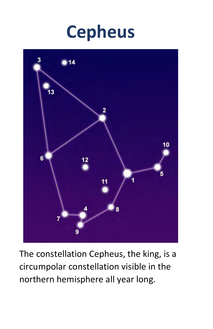



The constellation Cepheus, the king, is a circumpolar constellation visible in the northern hemisphere all year long.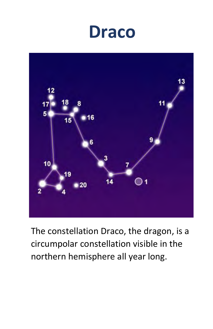### **Draco**



The constellation Draco, the dragon, is a circumpolar constellation visible in the northern hemisphere all year long.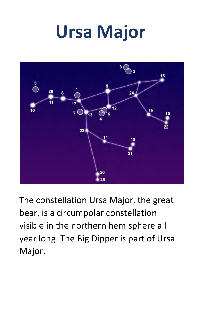## **Ursa Major**



The constellation Ursa Major, the great bear, is a circumpolar constellation visible in the northern hemisphere all year long. The Big Dipper is part of Ursa Major.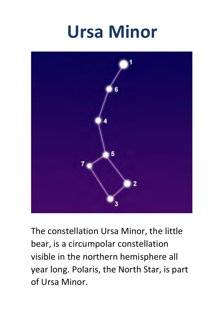## **Ursa Minor**



The constellation Ursa Minor, the little bear, is a circumpolar constellation visible in the northern hemisphere all year long. Polaris, the North Star, is part of Ursa Minor.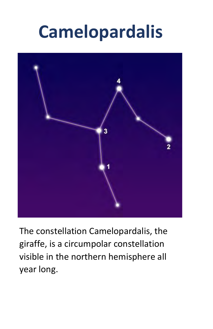## **Camelopardalis**



The constellation Camelopardalis, the giraffe, is a circumpolar constellation visible in the northern hemisphere all year long.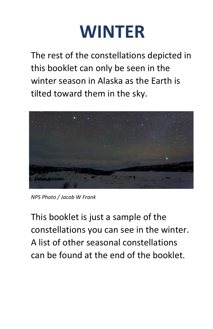

The rest of the constellations depicted in this booklet can only be seen in the winter season in Alaska as the Earth is tilted toward them in the sky.



*NPS Photo / Jacob W Frank* 

This booklet is just a sample of the constellations you can see in the winter. A list of other seasonal constellations can be found at the end of the booklet.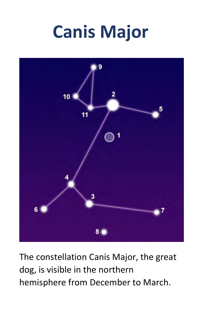## **Canis Major**



The constellation Canis Major, the great dog, is visible in the northern hemisphere from December to March.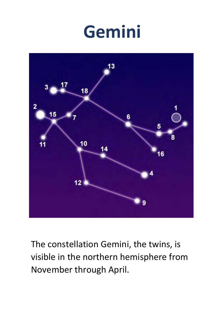## **Gemini**



The constellation Gemini, the twins, is visible in the northern hemisphere from November through April.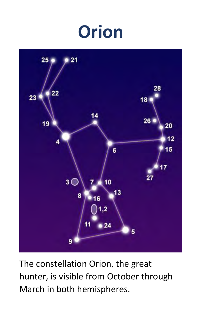## **Orion**



The constellation Orion, the great hunter, is visible from October through March in both hemispheres.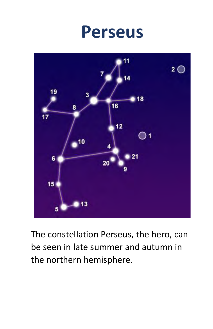### **Perseus**



The constellation Perseus, the hero, can be seen in late summer and autumn in the northern hemisphere.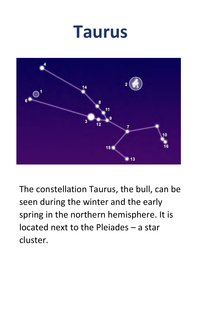### **Taurus**



The constellation Taurus, the bull, can be seen during the winter and the early spring in the northern hemisphere. It is located next to the Pleiades – a star cluster.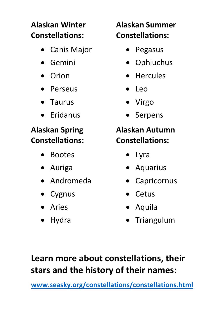### **Alaskan Winter Constellations:**

- Canis Major
- Gemini
- Orion
- Perseus
- Taurus
- Eridanus

#### **Alaskan Spring Constellations:**

- Bootes
- Auriga •
- Andromeda •
- Cygnus •
- Aries •
- Hydra

### **Alaskan Summer Constellations:**

- Pegasus
- Ophiuchus
- Hercules
- Leo
- Virgo
- Serpens

#### **Alaskan Autumn Constellations:**

- Lyra
- Aquarius
- Capricornus
- Cetus
- Aquila
- Triangulum

### **Learn more about constellations, their stars and the history of their names:**

**[www.seasky.org/constellations/constellations.html](http://www.seasky.org/constellations/constellations.html)**